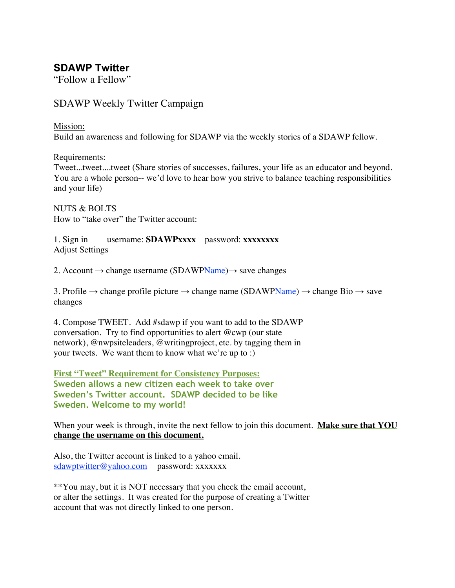# **SDAWP Twitter**

"Follow a Fellow"

## SDAWP Weekly Twitter Campaign

#### Mission:

Build an awareness and following for SDAWP via the weekly stories of a SDAWP fellow.

Requirements:

Tweet...tweet....tweet (Share stories of successes, failures, your life as an educator and beyond. You are a whole person-- we'd love to hear how you strive to balance teaching responsibilities and your life)

NUTS & BOLTS How to "take over" the Twitter account:

1. Sign in username: **SDAWPxxxx** password: **xxxxxxxx** Adjust Settings

2. Account  $\rightarrow$  change username (SDAWPName) $\rightarrow$  save changes

3. Profile  $\rightarrow$  change profile picture  $\rightarrow$  change name (SDAWPName)  $\rightarrow$  change Bio  $\rightarrow$  save changes

4. Compose TWEET. Add #sdawp if you want to add to the SDAWP conversation. Try to find opportunities to alert @cwp (our state network), @nwpsiteleaders, @writingproject, etc. by tagging them in your tweets. We want them to know what we're up to :)

**First "Tweet" Requirement for Consistency Purposes: Sweden allows a new citizen each week to take over Sweden's Twitter account. SDAWP decided to be like Sweden. Welcome to my world!**

When your week is through, invite the next fellow to join this document. **Make sure that YOU change the username on this document.**

Also, the Twitter account is linked to a yahoo email. sdawptwitter@yahoo.com password: xxxxxxx

\*\*You may, but it is NOT necessary that you check the email account, or alter the settings. It was created for the purpose of creating a Twitter account that was not directly linked to one person.